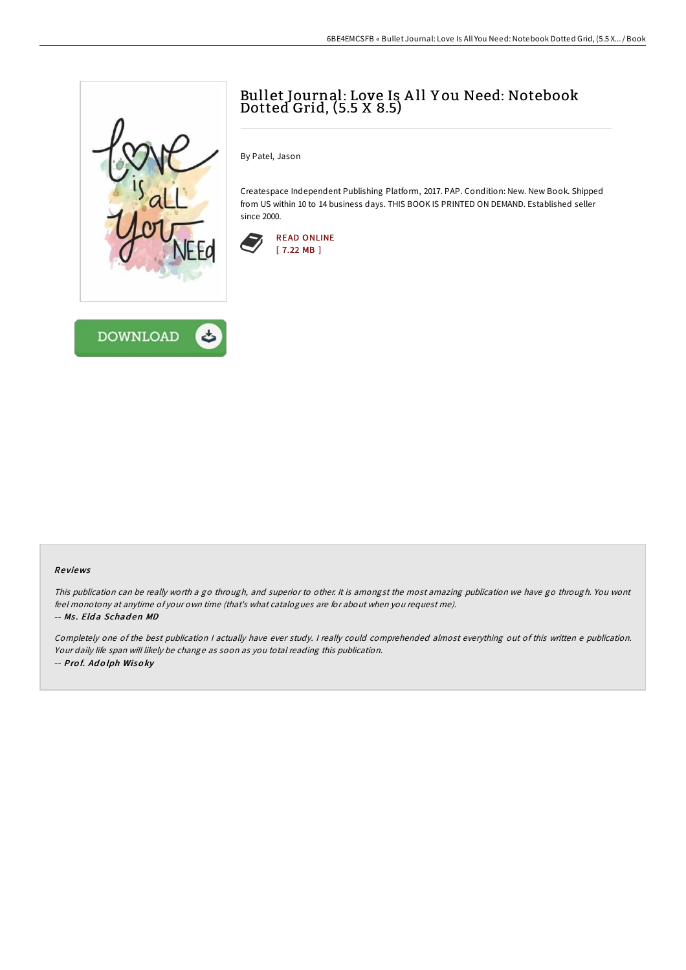



# Bullet Journal: Love Is A ll Y ou Need: Notebook Dotted Grid, (5.5 X 8.5)

By Patel, Jason

Createspace Independent Publishing Platform, 2017. PAP. Condition: New. New Book. Shipped from US within 10 to 14 business days. THIS BOOK IS PRINTED ON DEMAND. Established seller since 2000.



#### Re views

This publication can be really worth <sup>a</sup> go through, and superior to other. It is amongst the most amazing publication we have go through. You wont feel monotony at anytime of your own time (that's what catalogues are for about when you request me). -- Ms. Elda Schaden MD

Completely one of the best publication <sup>I</sup> actually have ever study. <sup>I</sup> really could comprehended almost everything out of this written <sup>e</sup> publication. Your daily life span will likely be change as soon as you total reading this publication. -- Pro f. Ad <sup>o</sup> lph Wiso ky